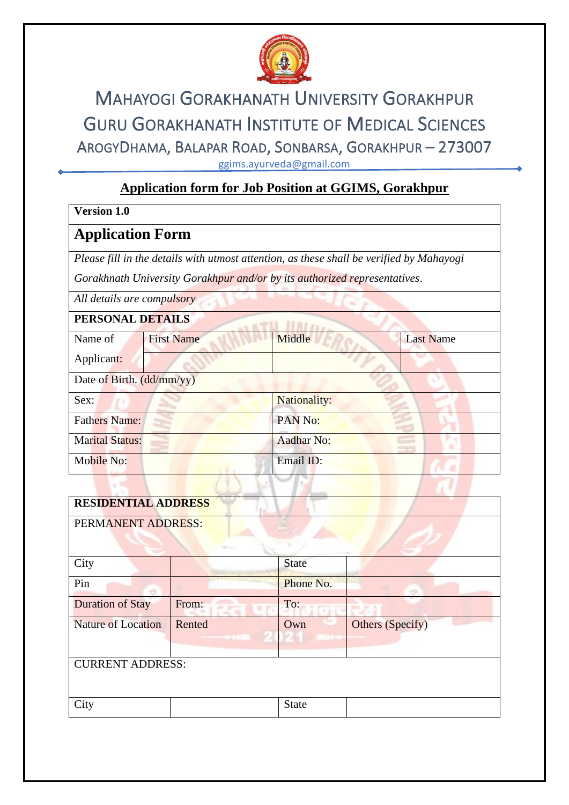

# MAHAYOGI GORAKHANATH UNIVERSITY GORAKHPUR GURU GORAKHANATH INSTITUTE OF MEDICAL SCIENCES AROGYDHAMA, BALAPAR ROAD, SONBARSA, GORAKHPUR – 273007 ggims.ayurveda@gmail.com

## **Application form for Job Position at GGIMS, Gorakhpur**

#### **Version 1.0**

## **Application Form**

*Please fill in the details with utmost attention, as these shall be verified by Mahayogi* 

*Gorakhnath University Gorakhpur and/or by its authorized representatives*.

*All details are compulsory*

### **PERSONAL DETAILS**

| 1 ENGONAL DETAILS         |                   |                     |                  |
|---------------------------|-------------------|---------------------|------------------|
| Name of                   | <b>First Name</b> | Middle              | <b>Last Name</b> |
| Applicant:                |                   |                     |                  |
| Date of Birth. (dd/mm/yy) |                   |                     |                  |
| Sex:                      |                   | <b>Nationality:</b> |                  |
| <b>Fathers Name:</b>      |                   | PAN No:             |                  |
| <b>Marital Status:</b>    |                   | <b>Aadhar No:</b>   |                  |
| Mobile No:                |                   | Email ID:           |                  |
|                           |                   |                     |                  |

| <b>RESIDENTIAL ADDRESS</b> |        |              |                  |
|----------------------------|--------|--------------|------------------|
| PERMANENT ADDRESS:         |        |              |                  |
| City                       |        | <b>State</b> |                  |
| Pin                        |        | Phone No.    |                  |
| <b>Duration of Stay</b>    | From:  | To:          |                  |
| <b>Nature of Location</b>  | Rented | Own          | Others (Specify) |
| <b>CURRENT ADDRESS:</b>    |        |              |                  |
| City                       |        | <b>State</b> |                  |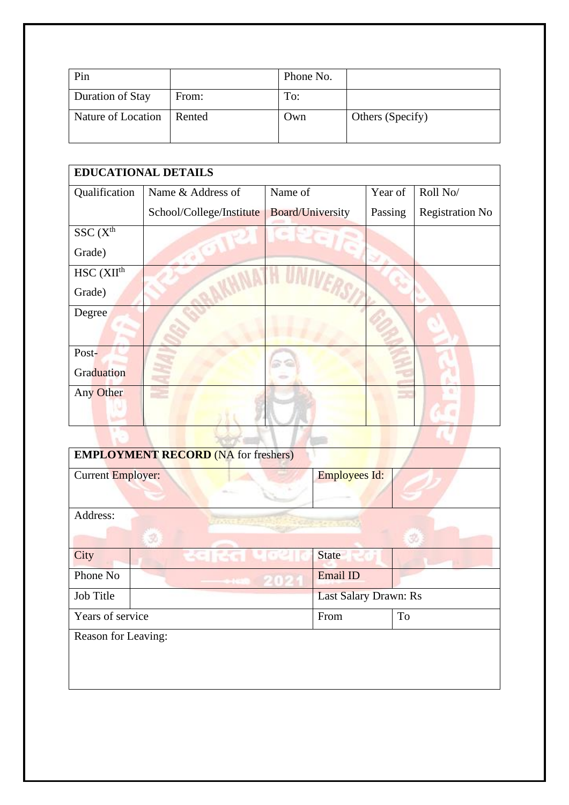| Pin                |        | Phone No. |                  |
|--------------------|--------|-----------|------------------|
| Duration of Stay   | From:  | To:       |                  |
| Nature of Location | Rented | Own       | Others (Specify) |

| <b>EDUCATIONAL DETAILS</b>  |                          |                         |         |                        |
|-----------------------------|--------------------------|-------------------------|---------|------------------------|
| Qualification               | Name & Address of        | Name of                 | Year of | Roll No/               |
|                             | School/College/Institute | <b>Board/University</b> | Passing | <b>Registration No</b> |
| SSC(X <sup>th</sup> )       |                          |                         |         |                        |
| Grade)                      |                          |                         |         |                        |
| $HSC$ ( $XII$ <sup>th</sup> |                          |                         |         |                        |
| Grade)                      |                          |                         |         |                        |
| Degree                      |                          |                         |         |                        |
|                             |                          |                         |         |                        |
| Post-                       |                          |                         |         |                        |
| Graduation                  |                          |                         |         |                        |
| Any Other                   |                          |                         |         |                        |
|                             |                          |                         |         |                        |
|                             |                          |                         |         |                        |

| <b>EMPLOYMENT RECORD (NA for freshers)</b>                                                                                                                                                                                                           |           |                       |           |
|------------------------------------------------------------------------------------------------------------------------------------------------------------------------------------------------------------------------------------------------------|-----------|-----------------------|-----------|
| <b>Current Employer:</b>                                                                                                                                                                                                                             |           | <b>Employees Id:</b>  |           |
| Address:<br>ment and the state of the state of the state of the state of the state of the state of the state of the state of the state of the state of the state of the state of the state of the state of the state of the state of the s<br>3<br>Ŕ |           |                       |           |
| City                                                                                                                                                                                                                                                 | 저희 건물 나라인 | State                 |           |
| Phone No                                                                                                                                                                                                                                             |           | Email ID              |           |
| Job Title                                                                                                                                                                                                                                            |           | Last Salary Drawn: Rs |           |
| Years of service                                                                                                                                                                                                                                     |           | From                  | <b>To</b> |
| Reason for Leaving:                                                                                                                                                                                                                                  |           |                       |           |